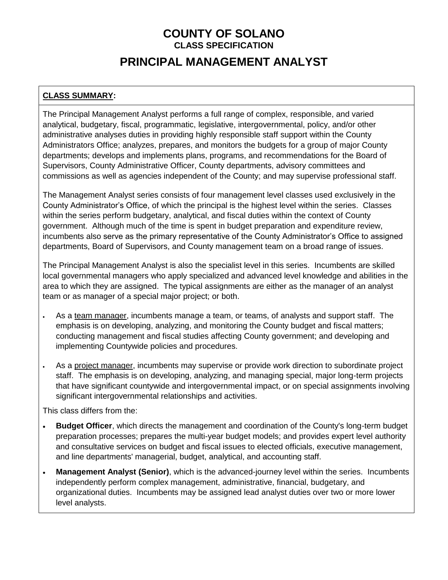# **COUNTY OF SOLANO CLASS SPECIFICATION PRINCIPAL MANAGEMENT ANALYST**

### **CLASS SUMMARY:**

The Principal Management Analyst performs a full range of complex, responsible, and varied analytical, budgetary, fiscal, programmatic, legislative, intergovernmental, policy, and/or other administrative analyses duties in providing highly responsible staff support within the County Administrators Office; analyzes, prepares, and monitors the budgets for a group of major County departments; develops and implements plans, programs, and recommendations for the Board of Supervisors, County Administrative Officer, County departments, advisory committees and commissions as well as agencies independent of the County; and may supervise professional staff.

The Management Analyst series consists of four management level classes used exclusively in the County Administrator's Office, of which the principal is the highest level within the series. Classes within the series perform budgetary, analytical, and fiscal duties within the context of County government. Although much of the time is spent in budget preparation and expenditure review, incumbents also serve as the primary representative of the County Administrator's Office to assigned departments, Board of Supervisors, and County management team on a broad range of issues.

The Principal Management Analyst is also the specialist level in this series. Incumbents are skilled local governmental managers who apply specialized and advanced level knowledge and abilities in the area to which they are assigned. The typical assignments are either as the manager of an analyst team or as manager of a special major project; or both.

- As a team manager, incumbents manage a team, or teams, of analysts and support staff. The emphasis is on developing, analyzing, and monitoring the County budget and fiscal matters; conducting management and fiscal studies affecting County government; and developing and implementing Countywide policies and procedures.
- As a project manager, incumbents may supervise or provide work direction to subordinate project staff. The emphasis is on developing, analyzing, and managing special, major long-term projects that have significant countywide and intergovernmental impact, or on special assignments involving significant intergovernmental relationships and activities.

This class differs from the:

- **Budget Officer**, which directs the management and coordination of the County's long-term budget preparation processes; prepares the multi-year budget models; and provides expert level authority and consultative services on budget and fiscal issues to elected officials, executive management, and line departments' managerial, budget, analytical, and accounting staff.
- **Management Analyst (Senior)**, which is the advanced-journey level within the series. Incumbents independently perform complex management, administrative, financial, budgetary, and organizational duties. Incumbents may be assigned lead analyst duties over two or more lower level analysts.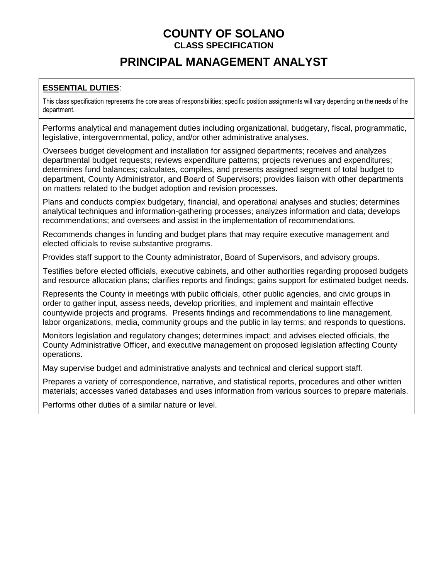# **PRINCIPAL MANAGEMENT ANALYST**

### **ESSENTIAL DUTIES**:

This class specification represents the core areas of responsibilities; specific position assignments will vary depending on the needs of the department.

Performs analytical and management duties including organizational, budgetary, fiscal, programmatic, legislative, intergovernmental, policy, and/or other administrative analyses.

Oversees budget development and installation for assigned departments; receives and analyzes departmental budget requests; reviews expenditure patterns; projects revenues and expenditures; determines fund balances; calculates, compiles, and presents assigned segment of total budget to department, County Administrator, and Board of Supervisors; provides liaison with other departments on matters related to the budget adoption and revision processes.

Plans and conducts complex budgetary, financial, and operational analyses and studies; determines analytical techniques and information-gathering processes; analyzes information and data; develops recommendations; and oversees and assist in the implementation of recommendations.

Recommends changes in funding and budget plans that may require executive management and elected officials to revise substantive programs.

Provides staff support to the County administrator, Board of Supervisors, and advisory groups.

Testifies before elected officials, executive cabinets, and other authorities regarding proposed budgets and resource allocation plans; clarifies reports and findings; gains support for estimated budget needs.

Represents the County in meetings with public officials, other public agencies, and civic groups in order to gather input, assess needs, develop priorities, and implement and maintain effective countywide projects and programs. Presents findings and recommendations to line management, labor organizations, media, community groups and the public in lay terms; and responds to questions.

Monitors legislation and regulatory changes; determines impact; and advises elected officials, the County Administrative Officer, and executive management on proposed legislation affecting County operations.

May supervise budget and administrative analysts and technical and clerical support staff.

Prepares a variety of correspondence, narrative, and statistical reports, procedures and other written materials; accesses varied databases and uses information from various sources to prepare materials.

Performs other duties of a similar nature or level.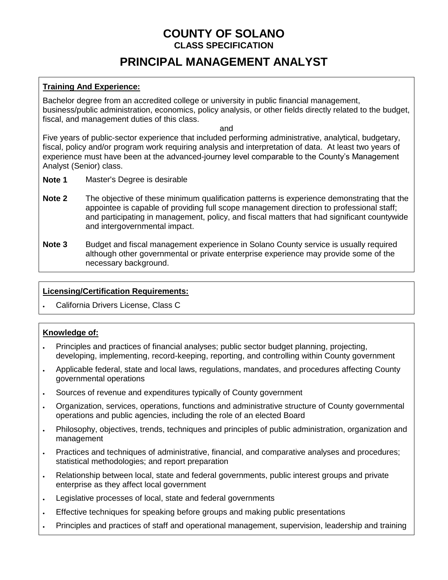# **PRINCIPAL MANAGEMENT ANALYST**

### **Training And Experience:**

Bachelor degree from an accredited college or university in public financial management, business/public administration, economics, policy analysis, or other fields directly related to the budget, fiscal, and management duties of this class.

and

Five years of public-sector experience that included performing administrative, analytical, budgetary, fiscal, policy and/or program work requiring analysis and interpretation of data. At least two years of experience must have been at the advanced-journey level comparable to the County's Management Analyst (Senior) class.

- **Note 1** Master's Degree is desirable
- **Note 2** The objective of these minimum qualification patterns is experience demonstrating that the appointee is capable of providing full scope management direction to professional staff; and participating in management, policy, and fiscal matters that had significant countywide and intergovernmental impact.
- **Note 3** Budget and fiscal management experience in Solano County service is usually required although other governmental or private enterprise experience may provide some of the necessary background.

#### **Licensing/Certification Requirements:**

California Drivers License, Class C

#### **Knowledge of:**

- Principles and practices of financial analyses; public sector budget planning, projecting, developing, implementing, record-keeping, reporting, and controlling within County government
- Applicable federal, state and local laws, regulations, mandates, and procedures affecting County governmental operations
- Sources of revenue and expenditures typically of County government
- Organization, services, operations, functions and administrative structure of County governmental operations and public agencies, including the role of an elected Board
- Philosophy, objectives, trends, techniques and principles of public administration, organization and management
- Practices and techniques of administrative, financial, and comparative analyses and procedures; statistical methodologies; and report preparation
- Relationship between local, state and federal governments, public interest groups and private enterprise as they affect local government
- Legislative processes of local, state and federal governments
- Effective techniques for speaking before groups and making public presentations
- Principles and practices of staff and operational management, supervision, leadership and training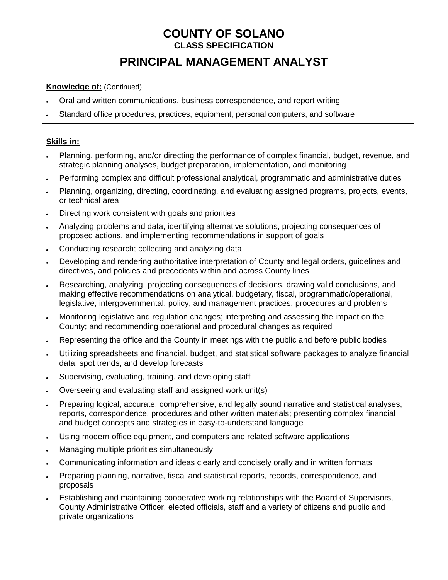# **PRINCIPAL MANAGEMENT ANALYST**

### **Knowledge of:** (Continued)

- Oral and written communications, business correspondence, and report writing
- Standard office procedures, practices, equipment, personal computers, and software

#### **Skills in:**

- Planning, performing, and/or directing the performance of complex financial, budget, revenue, and strategic planning analyses, budget preparation, implementation, and monitoring
- Performing complex and difficult professional analytical, programmatic and administrative duties
- Planning, organizing, directing, coordinating, and evaluating assigned programs, projects, events, or technical area
- . Directing work consistent with goals and priorities
- Analyzing problems and data, identifying alternative solutions, projecting consequences of proposed actions, and implementing recommendations in support of goals
- . Conducting research; collecting and analyzing data
- Developing and rendering authoritative interpretation of County and legal orders, guidelines and directives, and policies and precedents within and across County lines
- Researching, analyzing, projecting consequences of decisions, drawing valid conclusions, and making effective recommendations on analytical, budgetary, fiscal, programmatic/operational, legislative, intergovernmental, policy, and management practices, procedures and problems
- Monitoring legislative and regulation changes; interpreting and assessing the impact on the County; and recommending operational and procedural changes as required
- Representing the office and the County in meetings with the public and before public bodies
- Utilizing spreadsheets and financial, budget, and statistical software packages to analyze financial data, spot trends, and develop forecasts
- . Supervising, evaluating, training, and developing staff
- Overseeing and evaluating staff and assigned work unit(s)
- Preparing logical, accurate, comprehensive, and legally sound narrative and statistical analyses, reports, correspondence, procedures and other written materials; presenting complex financial and budget concepts and strategies in easy-to-understand language
- Using modern office equipment, and computers and related software applications
- Managing multiple priorities simultaneously
- Communicating information and ideas clearly and concisely orally and in written formats
- Preparing planning, narrative, fiscal and statistical reports, records, correspondence, and proposals
- Establishing and maintaining cooperative working relationships with the Board of Supervisors, County Administrative Officer, elected officials, staff and a variety of citizens and public and private organizations